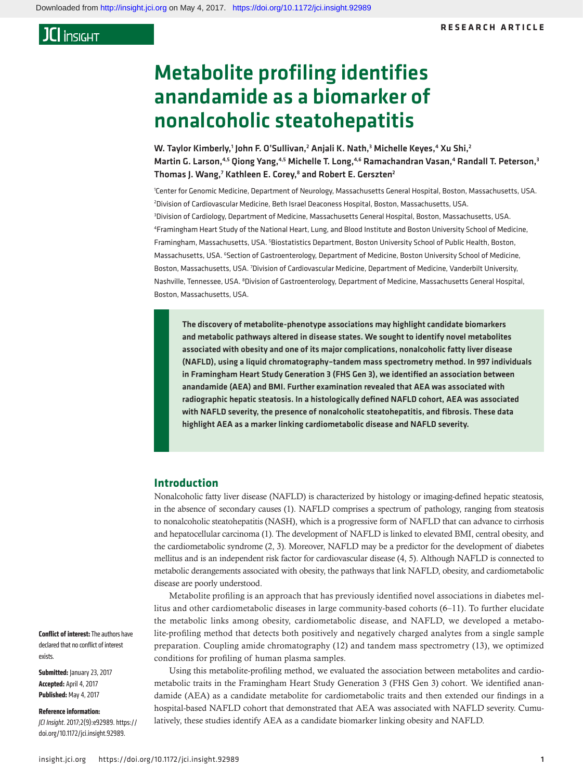# Metabolite profiling identifies anandamide as a biomarker of nonalcoholic steatohepatitis

W. Taylor Kimberly,<sup>1</sup> John F. O'Sullivan,<sup>2</sup> Anjali K. Nath,<sup>3</sup> Michelle Keyes,<sup>4</sup> Xu Shi,<sup>2</sup> Martin G. Larson,<sup>4,5</sup> Qiong Yang,<sup>4,5</sup> Michelle T. Long,<sup>4,6</sup> Ramachandran Vasan,<sup>4</sup> Randall T. Peterson,<sup>3</sup> Thomas J. Wang,<sup>7</sup> Kathleen E. Corey,<sup>8</sup> and Robert E. Gerszten<sup>2</sup>

1 Center for Genomic Medicine, Department of Neurology, Massachusetts General Hospital, Boston, Massachusetts, USA. 2 Division of Cardiovascular Medicine, Beth Israel Deaconess Hospital, Boston, Massachusetts, USA. 3 Division of Cardiology, Department of Medicine, Massachusetts General Hospital, Boston, Massachusetts, USA. 4 Framingham Heart Study of the National Heart, Lung, and Blood Institute and Boston University School of Medicine, Framingham, Massachusetts, USA. <sup>5</sup>Biostatistics Department, Boston University School of Public Health, Boston, Massachusetts, USA. <sup>6</sup>Section of Gastroenterology, Department of Medicine, Boston University School of Medicine, Boston, Massachusetts, USA. 7 Division of Cardiovascular Medicine, Department of Medicine, Vanderbilt University, Nashville, Tennessee, USA. <sup>8</sup>Division of Gastroenterology, Department of Medicine, Massachusetts General Hospital, Boston, Massachusetts, USA.

The discovery of metabolite-phenotype associations may highlight candidate biomarkers and metabolic pathways altered in disease states. We sought to identify novel metabolites associated with obesity and one of its major complications, nonalcoholic fatty liver disease (NAFLD), using a liquid chromatography–tandem mass spectrometry method. In 997 individuals in Framingham Heart Study Generation 3 (FHS Gen 3), we identified an association between anandamide (AEA) and BMI. Further examination revealed that AEA was associated with radiographic hepatic steatosis. In a histologically defined NAFLD cohort, AEA was associated with NAFLD severity, the presence of nonalcoholic steatohepatitis, and fibrosis. These data highlight AEA as a marker linking cardiometabolic disease and NAFLD severity.

### **Introduction**

Nonalcoholic fatty liver disease (NAFLD) is characterized by histology or imaging-defined hepatic steatosis, in the absence of secondary causes ([1](#page-7-0)). NAFLD comprises a spectrum of pathology, ranging from steatosis to nonalcoholic steatohepatitis (NASH), which is a progressive form of NAFLD that can advance to cirrhosis and hepatocellular carcinoma [\(1\)](#page-7-0). The development of NAFLD is linked to elevated BMI, central obesity, and the cardiometabolic syndrome [\(2](#page-7-1), [3](#page-7-2)). Moreover, NAFLD may be a predictor for the development of diabetes mellitus and is an independent risk factor for cardiovascular disease [\(4,](#page-7-3) [5\)](#page-7-4). Although NAFLD is connected to metabolic derangements associated with obesity, the pathways that link NAFLD, obesity, and cardiometabolic disease are poorly understood.

Metabolite profiling is an approach that has previously identified novel associations in diabetes mellitus and other cardiometabolic diseases in large community-based cohorts [\(6](#page-7-5)–[11\)](#page-7-6). To further elucidate the metabolic links among obesity, cardiometabolic disease, and NAFLD, we developed a metabolite-profiling method that detects both positively and negatively charged analytes from a single sample preparation. Coupling amide chromatography ([12](#page-7-7)) and tandem mass spectrometry ([13](#page-7-8)), we optimized conditions for profiling of human plasma samples.

Using this metabolite-profiling method, we evaluated the association between metabolites and cardiometabolic traits in the Framingham Heart Study Generation 3 (FHS Gen 3) cohort. We identified anandamide (AEA) as a candidate metabolite for cardiometabolic traits and then extended our findings in a hospital-based NAFLD cohort that demonstrated that AEA was associated with NAFLD severity. Cumulatively, these studies identify AEA as a candidate biomarker linking obesity and NAFLD.

**Conflict of interest:** The authors have declared that no conflict of interest exists.

**Submitted:** January 23, 2017 **Accepted:** April 4, 2017 **Published:** May 4, 2017

#### **Reference information:**

*JCI Insight*. 2017;2(9):e92989. https:// doi.org/[10.1172/jci.insight.92989](https://doi.org/10.1172/jci.insight.92989).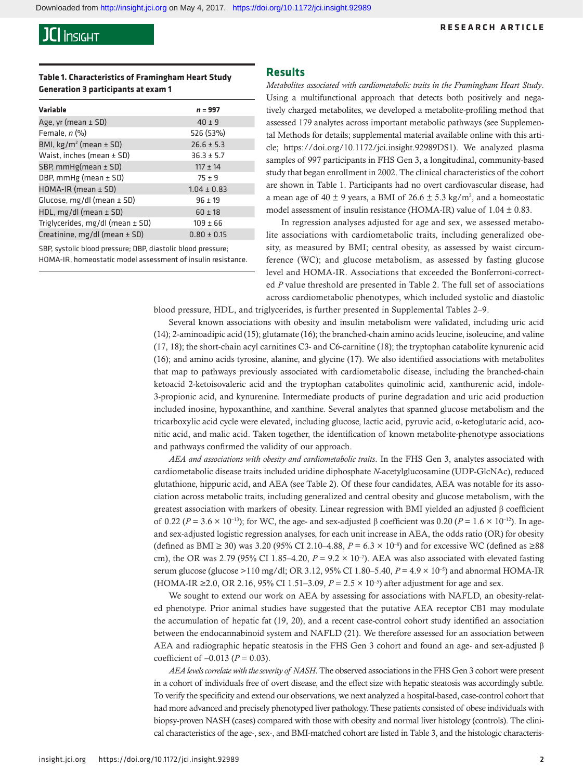### **RESEARCH ARTICLE**

### **Table 1. Characteristics of Framingham Heart Study Generation 3 participants at exam 1**

| <b>Variable</b>                        | $n = 997$       |
|----------------------------------------|-----------------|
| Age, yr (mean $\pm$ SD)                | $40 \pm 9$      |
| Female, $n$ $(\%)$                     | 526 (53%)       |
| BMI, $kg/m^2$ (mean $\pm$ SD)          | $26.6 \pm 5.3$  |
| Waist, inches (mean ± SD)              | $36.3 \pm 5.7$  |
| SBP, $mmHg(mean \pm SD)$               | $117 \pm 14$    |
| DBP, $mm$ Hg (mean $\pm$ SD)           | $75 + 9$        |
| $HOMA-IR$ (mean $\pm$ SD)              | $1.04 \pm 0.83$ |
| Glucose, $mg/dl$ (mean $\pm$ SD)       | $96 \pm 19$     |
| HDL, $mg/dl$ (mean $\pm$ SD)           | $60 \pm 18$     |
| Triglycerides, $mg/dl$ (mean $\pm$ SD) | $109 \pm 66$    |
| Creatinine, mg/dl (mean ± SD)          | $0.80 \pm 0.15$ |

SBP, systolic blood pressure; DBP, diastolic blood pressure; HOMA-IR, homeostatic model assessment of insulin resistance.

### **Results**

*Metabolites associated with cardiometabolic traits in the Framingham Heart Study*. Using a multifunctional approach that detects both positively and negatively charged metabolites, we developed a metabolite-profiling method that assessed 179 analytes across important metabolic pathways (see Supplemental Methods for details; supplemental material available online with this article; https://doi.org[/10.1172/jci.insight.92989DS1\)](https://doi.org/10.1172/jci.insight.92989DS1). We analyzed plasma samples of 997 participants in FHS Gen 3, a longitudinal, community-based study that began enrollment in 2002. The clinical characteristics of the cohort are shown in Table 1. Participants had no overt cardiovascular disease, had a mean age of  $40 \pm 9$  years, a BMI of  $26.6 \pm 5.3$  kg/m<sup>2</sup>, and a homeostatic model assessment of insulin resistance (HOMA-IR) value of  $1.04 \pm 0.83$ .

In regression analyses adjusted for age and sex, we assessed metabolite associations with cardiometabolic traits, including generalized obesity, as measured by BMI; central obesity, as assessed by waist circumference (WC); and glucose metabolism, as assessed by fasting glucose level and HOMA-IR. Associations that exceeded the Bonferroni-corrected *P* value threshold are presented in Table 2. The full set of associations across cardiometabolic phenotypes, which included systolic and diastolic

blood pressure, HDL, and triglycerides, is further presented in [Supplemental Tables 2–9.](https://insight.jci.org/articles/view/92989#sd)

Several known associations with obesity and insulin metabolism were validated, including uric acid [\(14](#page-7-9)); 2-aminoadipic acid ([15\)](#page-7-10); glutamate ([16\)](#page-7-11); the branched-chain amino acids leucine, isoleucine, and valine [\(17](#page-7-12), [18\)](#page-7-13); the short-chain acyl carnitines C3- and C6-carnitine [\(18](#page-7-13)); the tryptophan catabolite kynurenic acid [\(16](#page-7-11)); and amino acids tyrosine, alanine, and glycine [\(17](#page-7-12)). We also identified associations with metabolites that map to pathways previously associated with cardiometabolic disease, including the branched-chain ketoacid 2-ketoisovaleric acid and the tryptophan catabolites quinolinic acid, xanthurenic acid, indole-3-propionic acid, and kynurenine. Intermediate products of purine degradation and uric acid production included inosine, hypoxanthine, and xanthine. Several analytes that spanned glucose metabolism and the tricarboxylic acid cycle were elevated, including glucose, lactic acid, pyruvic acid, α-ketoglutaric acid, aconitic acid, and malic acid. Taken together, the identification of known metabolite-phenotype associations and pathways confirmed the validity of our approach.

*AEA and associations with obesity and cardiometabolic traits*. In the FHS Gen 3, analytes associated with cardiometabolic disease traits included uridine diphosphate *N*-acetylglucosamine (UDP-GlcNAc), reduced glutathione, hippuric acid, and AEA (see Table 2). Of these four candidates, AEA was notable for its association across metabolic traits, including generalized and central obesity and glucose metabolism, with the greatest association with markers of obesity. Linear regression with BMI yielded an adjusted β coefficient of 0.22 (*P* = 3.6 × 10<sup>-13</sup>); for WC, the age- and sex-adjusted β coefficient was 0.20 (*P* = 1.6 × 10<sup>-12</sup>). In ageand sex-adjusted logistic regression analyses, for each unit increase in AEA, the odds ratio (OR) for obesity (defined as BMI ≥ 30) was 3.20 (95% CI 2.10–4.88,  $P = 6.3 \times 10^{-8}$ ) and for excessive WC (defined as ≥88 cm), the OR was 2.79 (95% CI 1.85–4.20,  $P = 9.2 \times 10^{-7}$ ). AEA was also associated with elevated fasting serum glucose (glucose >110 mg/dl; OR 3.12, 95% CI 1.80–5.40, *P* = 4.9 × 10–5) and abnormal HOMA-IR (HOMA-IR ≥2.0, OR 2.16, 95% CI 1.51–3.09,  $P = 2.5 \times 10^{-5}$ ) after adjustment for age and sex.

We sought to extend our work on AEA by assessing for associations with NAFLD, an obesity-related phenotype. Prior animal studies have suggested that the putative AEA receptor CB1 may modulate the accumulation of hepatic fat [\(19,](#page-7-14) [20](#page-7-15)), and a recent case-control cohort study identified an association between the endocannabinoid system and NAFLD [\(21](#page-7-16)). We therefore assessed for an association between AEA and radiographic hepatic steatosis in the FHS Gen 3 cohort and found an age- and sex-adjusted β coefficient of –0.013 (*P* = 0.03).

*AEA levels correlate with the severity of NASH*. The observed associations in the FHS Gen 3 cohort were present in a cohort of individuals free of overt disease, and the effect size with hepatic steatosis was accordingly subtle. To verify the specificity and extend our observations, we next analyzed a hospital-based, case-control cohort that had more advanced and precisely phenotyped liver pathology. These patients consisted of obese individuals with biopsy-proven NASH (cases) compared with those with obesity and normal liver histology (controls). The clinical characteristics of the age-, sex-, and BMI-matched cohort are listed in Table 3, and the histologic characteris-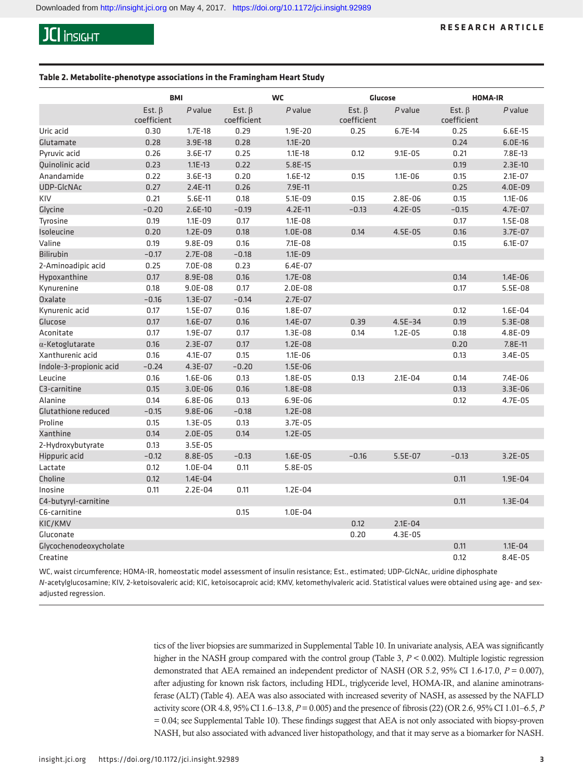#### **Table 2. Metabolite-phenotype associations in the Framingham Heart Study**

|                            | <b>BMI</b>                  |             |                             | <b>WC</b>    | Glucose                     |             | <b>HOMA-IR</b>              |             |
|----------------------------|-----------------------------|-------------|-----------------------------|--------------|-----------------------------|-------------|-----------------------------|-------------|
|                            | Est. $\beta$<br>coefficient | $P$ value   | Est. $\beta$<br>coefficient | $P$ value    | Est. $\beta$<br>coefficient | $P$ value   | Est. $\beta$<br>coefficient | P value     |
| Uric acid                  | 0.30                        | $1.7E-18$   | 0.29                        | 1.9E-20      | 0.25                        | $6.7E-14$   | 0.25                        | $6.6E-15$   |
| Glutamate                  | 0.28                        | 3.9E-18     | 0.28                        | $1.1E - 20$  |                             |             | 0.24                        | $6.0E-16$   |
| Pyruvic acid               | 0.26                        | 3.6E-17     | 0.25                        | $1.1E - 18$  | 0.12                        | $9.1E - 05$ | 0.21                        | 7.8E-13     |
| Quinolinic acid            | 0.23                        | $1.1E - 13$ | 0.22                        | 5.8E-15      |                             |             | 0.19                        | $2.3E-10$   |
| Anandamide                 | 0.22                        | $3.6E-13$   | 0.20                        | $1.6E-12$    | 0.15                        | $1.1E - 06$ | 0.15                        | $2.1E - 07$ |
| UDP-GIcNAc                 | 0.27                        | $2.4E-11$   | 0.26                        | 7.9E-11      |                             |             | 0.25                        | $4.0E-09$   |
| KIV                        | 0.21                        | $5.6E-11$   | 0.18                        | $5.1E - 09$  | 0.15                        | 2.8E-06     | 0.15                        | $1.1E - 06$ |
| Glycine                    | $-0.20$                     | $2.6E-10$   | $-0.19$                     | $4.2E-11$    | $-0.13$                     | $4.2E - 05$ | $-0.15$                     | $4.7E-07$   |
| Tyrosine                   | 0.19                        | $1.1E - 09$ | 0.17                        | $1.1E - 0.8$ |                             |             | 0.17                        | $1.5E - 08$ |
| Isoleucine                 | 0.20                        | $1.2E - 09$ | 0.18                        | $1.0E - 08$  | 0.14                        | $4.5E-05$   | 0.16                        | 3.7E-07     |
| Valine                     | 0.19                        | $9.8E-09$   | 0.16                        | $7.1E - 0.8$ |                             |             | 0.15                        | $6.1E - 07$ |
| <b>Bilirubin</b>           | $-0.17$                     | $2.7E - 08$ | $-0.18$                     | $1.1E - 09$  |                             |             |                             |             |
| 2-Aminoadipic acid         | 0.25                        | 7.0E-08     | 0.23                        | $6.4E-07$    |                             |             |                             |             |
| Hypoxanthine               | 0.17                        | 8.9E-08     | 0.16                        | $1.7E - 08$  |                             |             | 0.14                        | $1.4E - 06$ |
| Kynurenine                 | 0.18                        | $9.0E-08$   | 0.17                        | $2.0E-08$    |                             |             | 0.17                        | $5.5E-08$   |
| Oxalate                    | $-0.16$                     | $1.3E - 07$ | $-0.14$                     | $2.7E - 07$  |                             |             |                             |             |
| Kynurenic acid             | 0.17                        | $1.5E-07$   | 0.16                        | $1.8E - 07$  |                             |             | 0.12                        | $1.6E - 04$ |
| Glucose                    | 0.17                        | $1.6E-07$   | 0.16                        | $1.4E - 07$  | 0.39                        | $4.5E - 34$ | 0.19                        | $5.3E-08$   |
| Aconitate                  | 0.17                        | 1.9E-07     | 0.17                        | $1.3E - 08$  | 0.14                        | $1.2E - 05$ | 0.18                        | 4.8E-09     |
| $\alpha$ -Ketoglutarate    | 0.16                        | $2.3E-07$   | 0.17                        | $1.2E - 08$  |                             |             | 0.20                        | 7.8E-11     |
| Xanthurenic acid           | 0.16                        | 4.1E-07     | 0.15                        | $1.1E - 06$  |                             |             | 0.13                        | $3.4E - 05$ |
| Indole-3-propionic acid    | $-0.24$                     | 4.3E-07     | $-0.20$                     | $1.5E - 06$  |                             |             |                             |             |
| Leucine                    | 0.16                        | $1.6E - 06$ | 0.13                        | $1.8E - 05$  | 0.13                        | $2.1E - 04$ | 0.14                        | $7.4E - 06$ |
| C3-carnitine               | 0.15                        | $3.0E-06$   | 0.16                        | $1.8E-08$    |                             |             | 0.13                        | $3.3E-06$   |
| Alanine                    | 0.14                        | $6.8E-06$   | 0.13                        | $6.9E-06$    |                             |             | 0.12                        | 4.7E-05     |
| <b>Glutathione reduced</b> | $-0.15$                     | $9.8E - 06$ | $-0.18$                     | $1.2E - 08$  |                             |             |                             |             |
| Proline                    | 0.15                        | $1.3E - 05$ | 0.13                        | 3.7E-05      |                             |             |                             |             |
| Xanthine                   | 0.14                        | $2.0E-05$   | 0.14                        | $1.2E - 05$  |                             |             |                             |             |
| 2-Hydroxybutyrate          | 0.13                        | $3.5E-05$   |                             |              |                             |             |                             |             |
| Hippuric acid              | $-0.12$                     | 8.8E-05     | $-0.13$                     | $1.6E - 05$  | $-0.16$                     | $5.5E-07$   | $-0.13$                     | $3.2E-05$   |
| Lactate                    | 0.12                        | 1.0E-04     | 0.11                        | $5.8E-05$    |                             |             |                             |             |
| Choline                    | 0.12                        | $1.4E - 04$ |                             |              |                             |             | 0.11                        | 1.9E-04     |
| Inosine                    | 0.11                        | $2.2E - 04$ | 0.11                        | $1.2E - 04$  |                             |             |                             |             |
| C4-butyryl-carnitine       |                             |             |                             |              |                             |             | 0.11                        | $1.3E - 04$ |
| C6-carnitine               |                             |             | 0.15                        | $1.0E-04$    |                             |             |                             |             |
| KIC/KMV                    |                             |             |                             |              | 0.12                        | $2.1E - 04$ |                             |             |
| Gluconate                  |                             |             |                             |              | 0.20                        | 4.3E-05     |                             |             |
| Glycochenodeoxycholate     |                             |             |                             |              |                             |             | 0.11                        | $1.1E - 04$ |
| Creatine                   |                             |             |                             |              |                             |             | 0.12                        | 8.4E-05     |

WC, waist circumference; HOMA-IR, homeostatic model assessment of insulin resistance; Est., estimated; UDP-GlcNAc, uridine diphosphate *N*-acetylglucosamine; KIV, 2-ketoisovaleric acid; KIC, ketoisocaproic acid; KMV, ketomethylvaleric acid. Statistical values were obtained using age- and sexadjusted regression.

> tics of the liver biopsies are summarized in [Supplemental Table 10](https://insight.jci.org/articles/view/92989#sd). In univariate analysis, AEA was significantly higher in the NASH group compared with the control group (Table 3,  $P < 0.002$ ). Multiple logistic regression demonstrated that AEA remained an independent predictor of NASH (OR 5.2, 95% CI 1.6-17.0, *P* = 0.007), after adjusting for known risk factors, including HDL, triglyceride level, HOMA-IR, and alanine aminotransferase (ALT) (Table 4). AEA was also associated with increased severity of NASH, as assessed by the NAFLD activity score (OR 4.8, 95% CI 1.6–13.8, *P* = 0.005) and the presence of fibrosis [\(22](#page-7-17)) (OR 2.6, 95% CI 1.01–6.5, *P* = 0.04; see [Supplemental Table 10\)](https://insight.jci.org/articles/view/92989#sd). These findings suggest that AEA is not only associated with biopsy-proven NASH, but also associated with advanced liver histopathology, and that it may serve as a biomarker for NASH.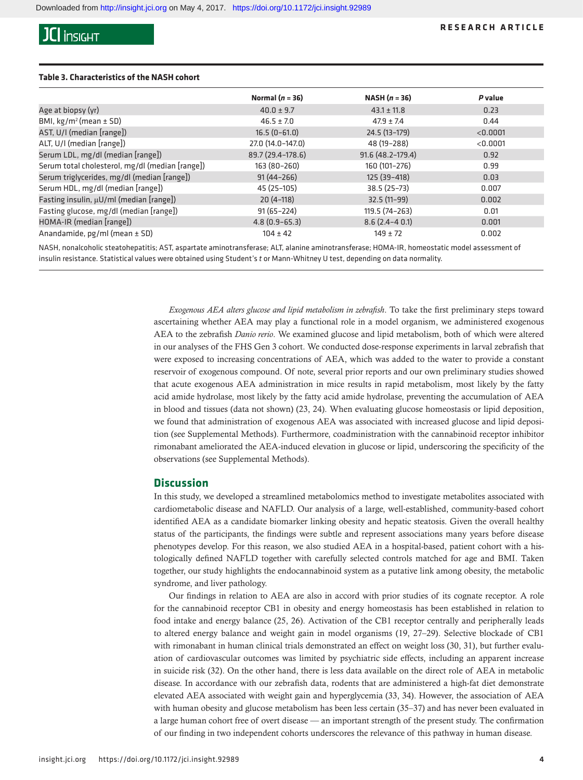#### **RESEARCH ARTICLE**

### **Table 3. Characteristics of the NASH cohort**

| Normal $(n = 36)$ | NASH $(n = 36)$    | P value  |
|-------------------|--------------------|----------|
| $40.0 \pm 9.7$    | $43.1 \pm 11.8$    | 0.23     |
| $46.5 \pm 7.0$    | $47.9 \pm 7.4$     | 0.44     |
| $16.5(0-61.0)$    | 24.5 (13-179)      | < 0.0001 |
| 27.0 (14.0-147.0) | 48 (19-288)        | < 0.0001 |
| 89.7 (29.4-178.6) | 91.6 (48.2-179.4)  | 0.92     |
| 163 (80-260)      | 160 (101-276)      | 0.99     |
| $91(44 - 266)$    | 125 (39-418)       | 0.03     |
| 45 (25-105)       | $38.5(25-73)$      | 0.007    |
| $20(4-118)$       | $32.5(11-99)$      | 0.002    |
| $91(65 - 224)$    | 119.5 (74-263)     | 0.01     |
| $4.8(0.9 - 65.3)$ | $8.6(2.4 - 4 0.1)$ | 0.001    |
| $104 \pm 42$      | $149 \pm 72$       | 0.002    |
|                   |                    |          |

NASH, nonalcoholic steatohepatitis; AST, aspartate aminotransferase; ALT, alanine aminotransferase; HOMA-IR, homeostatic model assessment of insulin resistance. Statistical values were obtained using Student's *t* or Mann-Whitney U test, depending on data normality.

> *Exogenous AEA alters glucose and lipid metabolism in zebrafish*. To take the first preliminary steps toward ascertaining whether AEA may play a functional role in a model organism, we administered exogenous AEA to the zebrafish *Danio rerio*. We examined glucose and lipid metabolism, both of which were altered in our analyses of the FHS Gen 3 cohort. We conducted dose-response experiments in larval zebrafish that were exposed to increasing concentrations of AEA, which was added to the water to provide a constant reservoir of exogenous compound. Of note, several prior reports and our own preliminary studies showed that acute exogenous AEA administration in mice results in rapid metabolism, most likely by the fatty acid amide hydrolase, most likely by the fatty acid amide hydrolase, preventing the accumulation of AEA in blood and tissues (data not shown) [\(23](#page-7-18), [24](#page-7-19)). When evaluating glucose homeostasis or lipid deposition, we found that administration of exogenous AEA was associated with increased glucose and lipid deposition (see Supplemental Methods). Furthermore, coadministration with the cannabinoid receptor inhibitor rimonabant ameliorated the AEA-induced elevation in glucose or lipid, underscoring the specificity of the observations (see Supplemental Methods).

### **Discussion**

In this study, we developed a streamlined metabolomics method to investigate metabolites associated with cardiometabolic disease and NAFLD. Our analysis of a large, well-established, community-based cohort identified AEA as a candidate biomarker linking obesity and hepatic steatosis. Given the overall healthy status of the participants, the findings were subtle and represent associations many years before disease phenotypes develop. For this reason, we also studied AEA in a hospital-based, patient cohort with a histologically defined NAFLD together with carefully selected controls matched for age and BMI. Taken together, our study highlights the endocannabinoid system as a putative link among obesity, the metabolic syndrome, and liver pathology.

Our findings in relation to AEA are also in accord with prior studies of its cognate receptor. A role for the cannabinoid receptor CB1 in obesity and energy homeostasis has been established in relation to food intake and energy balance [\(25,](#page-7-20) [26](#page-7-21)). Activation of the CB1 receptor centrally and peripherally leads to altered energy balance and weight gain in model organisms ([19,](#page-7-14) [27–](#page-7-22)[29](#page-7-23)). Selective blockade of CB1 with rimonabant in human clinical trials demonstrated an effect on weight loss ([30](#page-7-24), [31](#page-7-25)), but further evaluation of cardiovascular outcomes was limited by psychiatric side effects, including an apparent increase in suicide risk [\(32](#page-7-26)). On the other hand, there is less data available on the direct role of AEA in metabolic disease. In accordance with our zebrafish data, rodents that are administered a high-fat diet demonstrate elevated AEA associated with weight gain and hyperglycemia ([33,](#page-7-27) [34\)](#page-7-28). However, the association of AEA with human obesity and glucose metabolism has been less certain [\(35](#page-7-29)–[37\)](#page-7-30) and has never been evaluated in a large human cohort free of overt disease — an important strength of the present study. The confirmation of our finding in two independent cohorts underscores the relevance of this pathway in human disease.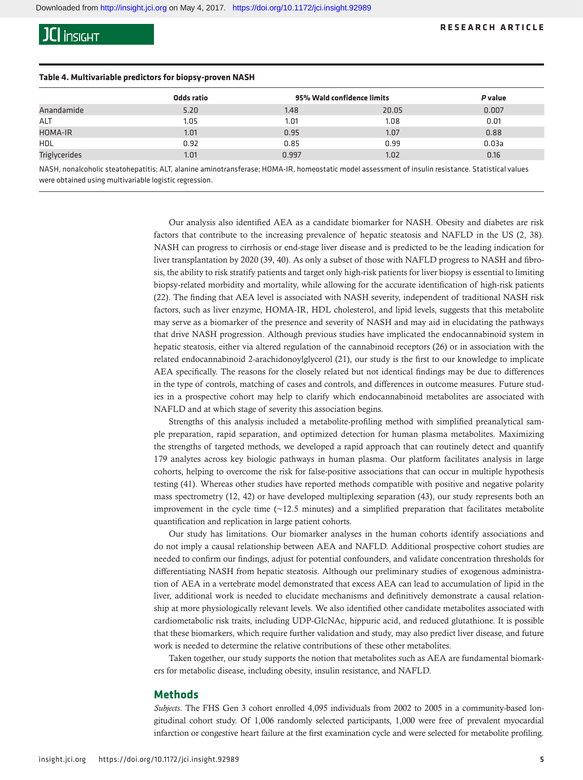#### **RESEARCH ARTICLE**

#### **Table 4. Multivariable predictors for biopsy-proven NASH**

|               | Odds ratio | 95% Wald confidence limits |       | P value |  |
|---------------|------------|----------------------------|-------|---------|--|
| Anandamide    | 5.20       | 1.48                       | 20.05 | 0.007   |  |
| <b>ALT</b>    | 1.05       | 1.01                       | 1.08  | 0.01    |  |
| HOMA-IR       | 1.01       | 0.95                       | 1.07  | 0.88    |  |
| <b>HDL</b>    | 0.92       | 0.85                       | 0.99  | 0.03a   |  |
| Triglycerides | 1.01       | 0.997                      | 1.02  | 0.16    |  |

NASH, nonalcoholic steatohepatitis; ALT, alanine aminotransferase; HOMA-IR, homeostatic model assessment of insulin resistance. Statistical values were obtained using multivariable logistic regression.

> Our analysis also identified AEA as a candidate biomarker for NASH. Obesity and diabetes are risk factors that contribute to the increasing prevalence of hepatic steatosis and NAFLD in the US ([2](#page-7-1), [38\)](#page-8-0). NASH can progress to cirrhosis or end-stage liver disease and is predicted to be the leading indication for liver transplantation by 2020 [\(39](#page-8-1), [40\)](#page-8-2). As only a subset of those with NAFLD progress to NASH and fibrosis, the ability to risk stratify patients and target only high-risk patients for liver biopsy is essential to limiting biopsy-related morbidity and mortality, while allowing for the accurate identification of high-risk patients [\(22](#page-7-17)). The finding that AEA level is associated with NASH severity, independent of traditional NASH risk factors, such as liver enzyme, HOMA-IR, HDL cholesterol, and lipid levels, suggests that this metabolite may serve as a biomarker of the presence and severity of NASH and may aid in elucidating the pathways that drive NASH progression. Although previous studies have implicated the endocannabinoid system in hepatic steatosis, either via altered regulation of the cannabinoid receptors [\(26](#page-7-21)) or in association with the related endocannabinoid 2-arachidonoylglycerol [\(21](#page-7-16)), our study is the first to our knowledge to implicate AEA specifically. The reasons for the closely related but not identical findings may be due to differences in the type of controls, matching of cases and controls, and differences in outcome measures. Future studies in a prospective cohort may help to clarify which endocannabinoid metabolites are associated with NAFLD and at which stage of severity this association begins.

> Strengths of this analysis included a metabolite-profiling method with simplified preanalytical sample preparation, rapid separation, and optimized detection for human plasma metabolites. Maximizing the strengths of targeted methods, we developed a rapid approach that can routinely detect and quantify 179 analytes across key biologic pathways in human plasma. Our platform facilitates analysis in large cohorts, helping to overcome the risk for false-positive associations that can occur in multiple hypothesis testing [\(41](#page-8-3)). Whereas other studies have reported methods compatible with positive and negative polarity mass spectrometry ([12,](#page-7-7) [42\)](#page-8-4) or have developed multiplexing separation [\(43](#page-8-5)), our study represents both an improvement in the cycle time  $(\sim 12.5 \text{ minutes})$  and a simplified preparation that facilitates metabolite quantification and replication in large patient cohorts.

> Our study has limitations. Our biomarker analyses in the human cohorts identify associations and do not imply a causal relationship between AEA and NAFLD. Additional prospective cohort studies are needed to confirm our findings, adjust for potential confounders, and validate concentration thresholds for differentiating NASH from hepatic steatosis. Although our preliminary studies of exogenous administration of AEA in a vertebrate model demonstrated that excess AEA can lead to accumulation of lipid in the liver, additional work is needed to elucidate mechanisms and definitively demonstrate a causal relationship at more physiologically relevant levels. We also identified other candidate metabolites associated with cardiometabolic risk traits, including UDP-GlcNAc, hippuric acid, and reduced glutathione. It is possible that these biomarkers, which require further validation and study, may also predict liver disease, and future work is needed to determine the relative contributions of these other metabolites.

> Taken together, our study supports the notion that metabolites such as AEA are fundamental biomarkers for metabolic disease, including obesity, insulin resistance, and NAFLD.

### **Methods**

*Subjects*. The FHS Gen 3 cohort enrolled 4,095 individuals from 2002 to 2005 in a community-based longitudinal cohort study. Of 1,006 randomly selected participants, 1,000 were free of prevalent myocardial infarction or congestive heart failure at the first examination cycle and were selected for metabolite profiling.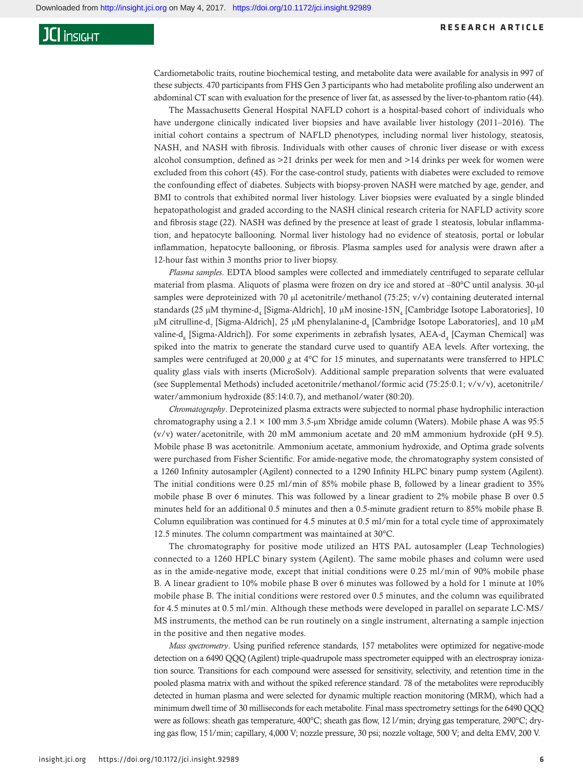#### **RESEARCH ARTICLE**

### **JCI** insight

Cardiometabolic traits, routine biochemical testing, and metabolite data were available for analysis in 997 of these subjects. 470 participants from FHS Gen 3 participants who had metabolite profiling also underwent an abdominal CT scan with evaluation for the presence of liver fat, as assessed by the liver-to-phantom ratio [\(44\)](#page-8-6).

The Massachusetts General Hospital NAFLD cohort is a hospital-based cohort of individuals who have undergone clinically indicated liver biopsies and have available liver histology (2011–2016). The initial cohort contains a spectrum of NAFLD phenotypes, including normal liver histology, steatosis, NASH, and NASH with fibrosis. Individuals with other causes of chronic liver disease or with excess alcohol consumption, defined as >21 drinks per week for men and >14 drinks per week for women were excluded from this cohort ([45\)](#page-8-7). For the case-control study, patients with diabetes were excluded to remove the confounding effect of diabetes. Subjects with biopsy-proven NASH were matched by age, gender, and BMI to controls that exhibited normal liver histology. Liver biopsies were evaluated by a single blinded hepatopathologist and graded according to the NASH clinical research criteria for NAFLD activity score and fibrosis stage ([22\)](#page-7-17). NASH was defined by the presence at least of grade 1 steatosis, lobular inflammation, and hepatocyte ballooning. Normal liver histology had no evidence of steatosis, portal or lobular inflammation, hepatocyte ballooning, or fibrosis. Plasma samples used for analysis were drawn after a 12-hour fast within 3 months prior to liver biopsy.

*Plasma samples*. EDTA blood samples were collected and immediately centrifuged to separate cellular material from plasma. Aliquots of plasma were frozen on dry ice and stored at –80°C until analysis. 30-μl samples were deproteinized with 70 μl acetonitrile/methanol (75:25; v/v) containing deuterated internal standards (25 μM thymine- $d_4$  [Sigma-Aldrich], 10 μM inosine-15 $N_4$  [Cambridge Isotope Laboratories], 10 μM citrulline-d<sub>7</sub> [Sigma-Aldrich], 25 μM phenylalanine-d<sub>8</sub> [Cambridge Isotope Laboratories], and 10 μM valine-d<sub>8</sub> [Sigma-Aldrich]). For some experiments in zebrafish lysates, AEA-d<sub>4</sub> [Cayman Chemical] was spiked into the matrix to generate the standard curve used to quantify AEA levels. After vortexing, the samples were centrifuged at 20,000 *g* at 4°C for 15 minutes, and supernatants were transferred to HPLC quality glass vials with inserts (MicroSolv). Additional sample preparation solvents that were evaluated (see Supplemental Methods) included acetonitrile/methanol/formic acid (75:25:0.1; v/v/v), acetonitrile/ water/ammonium hydroxide (85:14:0.7), and methanol/water (80:20).

*Chromatography*. Deproteinized plasma extracts were subjected to normal phase hydrophilic interaction chromatography using a 2.1 × 100 mm 3.5-μm Xbridge amide column (Waters). Mobile phase A was 95:5 (v/v) water/acetonitrile, with 20 mM ammonium acetate and 20 mM ammonium hydroxide (pH 9.5). Mobile phase B was acetonitrile. Ammonium acetate, ammonium hydroxide, and Optima grade solvents were purchased from Fisher Scientific. For amide-negative mode, the chromatography system consisted of a 1260 Infinity autosampler (Agilent) connected to a 1290 Infinity HLPC binary pump system (Agilent). The initial conditions were 0.25 ml/min of 85% mobile phase B, followed by a linear gradient to 35% mobile phase B over 6 minutes. This was followed by a linear gradient to 2% mobile phase B over 0.5 minutes held for an additional 0.5 minutes and then a 0.5-minute gradient return to 85% mobile phase B. Column equilibration was continued for 4.5 minutes at 0.5 ml/min for a total cycle time of approximately 12.5 minutes. The column compartment was maintained at 30°C.

The chromatography for positive mode utilized an HTS PAL autosampler (Leap Technologies) connected to a 1260 HPLC binary system (Agilent). The same mobile phases and column were used as in the amide-negative mode, except that initial conditions were 0.25 ml/min of 90% mobile phase B. A linear gradient to 10% mobile phase B over 6 minutes was followed by a hold for 1 minute at 10% mobile phase B. The initial conditions were restored over 0.5 minutes, and the column was equilibrated for 4.5 minutes at 0.5 ml/min. Although these methods were developed in parallel on separate LC-MS/ MS instruments, the method can be run routinely on a single instrument, alternating a sample injection in the positive and then negative modes.

*Mass spectrometry*. Using purified reference standards, 157 metabolites were optimized for negative-mode detection on a 6490 QQQ (Agilent) triple-quadrupole mass spectrometer equipped with an electrospray ionization source. Transitions for each compound were assessed for sensitivity, selectivity, and retention time in the pooled plasma matrix with and without the spiked reference standard. 78 of the metabolites were reproducibly detected in human plasma and were selected for dynamic multiple reaction monitoring (MRM), which had a minimum dwell time of 30 milliseconds for each metabolite. Final mass spectrometry settings for the 6490 QQQ were as follows: sheath gas temperature, 400°C; sheath gas flow, 12 l/min; drying gas temperature, 290°C; drying gas flow, 15 l/min; capillary, 4,000 V; nozzle pressure, 30 psi; nozzle voltage, 500 V; and delta EMV, 200 V.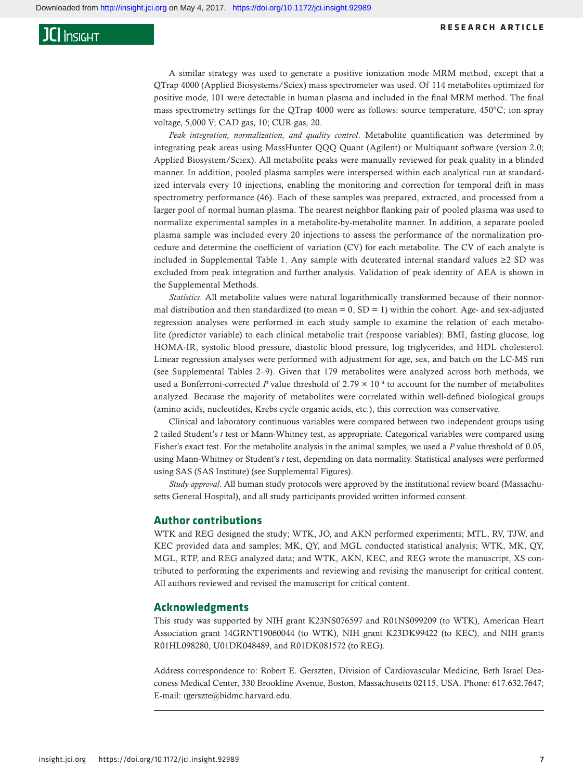A similar strategy was used to generate a positive ionization mode MRM method, except that a QTrap 4000 (Applied Biosystems/Sciex) mass spectrometer was used. Of 114 metabolites optimized for positive mode, 101 were detectable in human plasma and included in the final MRM method. The final mass spectrometry settings for the QTrap 4000 were as follows: source temperature, 450°C; ion spray voltage, 5,000 V; CAD gas, 10; CUR gas, 20.

*Peak integration, normalization, and quality control*. Metabolite quantification was determined by integrating peak areas using MassHunter QQQ Quant (Agilent) or Multiquant software (version 2.0; Applied Biosystem/Sciex). All metabolite peaks were manually reviewed for peak quality in a blinded manner. In addition, pooled plasma samples were interspersed within each analytical run at standardized intervals every 10 injections, enabling the monitoring and correction for temporal drift in mass spectrometry performance ([46](#page-8-8)). Each of these samples was prepared, extracted, and processed from a larger pool of normal human plasma. The nearest neighbor flanking pair of pooled plasma was used to normalize experimental samples in a metabolite-by-metabolite manner. In addition, a separate pooled plasma sample was included every 20 injections to assess the performance of the normalization procedure and determine the coefficient of variation (CV) for each metabolite. The CV of each analyte is included in [Supplemental Table 1](https://insight.jci.org/articles/view/92989#sd). Any sample with deuterated internal standard values ≥2 SD was excluded from peak integration and further analysis. Validation of peak identity of AEA is shown in the Supplemental Methods.

*Statistics*. All metabolite values were natural logarithmically transformed because of their nonnormal distribution and then standardized (to mean  $= 0$ , SD  $= 1$ ) within the cohort. Age- and sex-adjusted regression analyses were performed in each study sample to examine the relation of each metabolite (predictor variable) to each clinical metabolic trait (response variables): BMI, fasting glucose, log HOMA-IR, systolic blood pressure, diastolic blood pressure, log triglycerides, and HDL cholesterol. Linear regression analyses were performed with adjustment for age, sex, and batch on the LC-MS run (see [Supplemental Tables 2–9\)](https://insight.jci.org/articles/view/92989#sd). Given that 179 metabolites were analyzed across both methods, we used a Bonferroni-corrected *P* value threshold of  $2.79 \times 10^{-4}$  to account for the number of metabolites analyzed. Because the majority of metabolites were correlated within well-defined biological groups (amino acids, nucleotides, Krebs cycle organic acids, etc.), this correction was conservative.

Clinical and laboratory continuous variables were compared between two independent groups using 2 tailed Student's *t* test or Mann-Whitney test, as appropriate. Categorical variables were compared using Fisher's exact test. For the metabolite analysis in the animal samples, we used a *P* value threshold of 0.05, using Mann-Whitney or Student's *t* test, depending on data normality. Statistical analyses were performed using SAS (SAS Institute) (see Supplemental Figures).

*Study approval*. All human study protocols were approved by the institutional review board (Massachusetts General Hospital), and all study participants provided written informed consent.

### **Author contributions**

WTK and REG designed the study; WTK, JO, and AKN performed experiments; MTL, RV, TJW, and KEC provided data and samples; MK, QY, and MGL conducted statistical analysis; WTK, MK, QY, MGL, RTP, and REG analyzed data; and WTK, AKN, KEC, and REG wrote the manuscript, XS contributed to performing the experiments and reviewing and revising the manuscript for critical content. All authors reviewed and revised the manuscript for critical content.

### **Acknowledgments**

This study was supported by NIH grant K23NS076597 and R01NS099209 (to WTK), American Heart Association grant 14GRNT19060044 (to WTK), NIH grant K23DK99422 (to KEC), and NIH grants R01HL098280, U01DK048489, and R01DK081572 (to REG).

Address correspondence to: Robert E. Gerszten, Division of Cardiovascular Medicine, Beth Israel Deaconess Medical Center, 330 Brookline Avenue, Boston, Massachusetts 02115, USA. Phone: 617.632.7647; E-mail: rgerszte@bidmc.harvard.edu.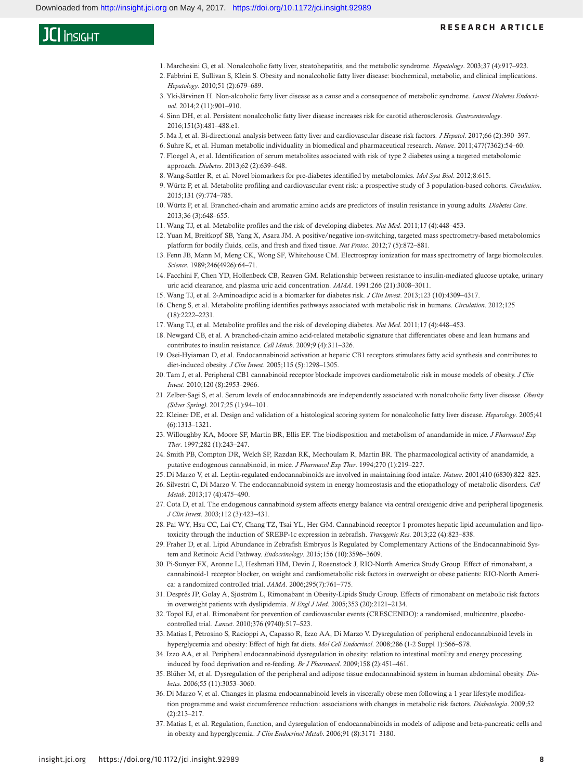- <span id="page-7-0"></span>1. [Marchesini G, et al. Nonalcoholic fatty liver, steatohepatitis, and the metabolic syndrome.](https://doi.org/10.1053/jhep.2003.50161) *Hepatology*. 2003;37 (4):917–923.
- <span id="page-7-1"></span>2. [Fabbrini E, Sullivan S, Klein S. Obesity and nonalcoholic fatty liver disease: biochemical, metabolic, and clinical implications.](https://doi.org/10.1002/hep.23280)  *Hepatology*[. 2010;51 \(2\):679–689.](https://doi.org/10.1002/hep.23280)
- <span id="page-7-2"></span>3. [Yki-Järvinen H. Non-alcoholic fatty liver disease as a cause and a consequence of metabolic syndrome.](https://doi.org/10.1016/S2213-8587(14)70032-4) *Lancet Diabetes Endocrinol*[. 2014;2 \(11\):901–910.](https://doi.org/10.1016/S2213-8587(14)70032-4)
- <span id="page-7-3"></span>4. [Sinn DH, et al. Persistent nonalcoholic fatty liver disease increases risk for carotid atherosclerosis.](https://doi.org/10.1053/j.gastro.2016.06.001) *Gastroenterology*. [2016;151\(3\):481–488.e1.](https://doi.org/10.1053/j.gastro.2016.06.001)
- <span id="page-7-4"></span>5. [Ma J, et al. Bi-directional analysis between fatty liver and cardiovascular disease risk factors.](https://doi.org/10.1016/j.jhep.2016.09.022) *J Hepatol*. 2017;66 (2):390–397.
- <span id="page-7-5"></span>6. [Suhre K, et al. Human metabolic individuality in biomedical and pharmaceutical research.](https://doi.org/10.1038/nature10354) *Nature*. 2011;477(7362):54–60.
- 7. [Floegel A, et al. Identification of serum metabolites associated with risk of type 2 diabetes using a targeted metabolomic](https://doi.org/10.2337/db12-0495)  approach. *Diabetes*[. 2013;62 \(2\):639–648.](https://doi.org/10.2337/db12-0495)
- 8. Wang-Sattler R, et al. Novel biomarkers for pre-diabetes identified by metabolomics. *Mol Syst Biol*. 2012;8:615.
- 9. [Würtz P, et al. Metabolite profiling and cardiovascular event risk: a prospective study of 3 population-based cohorts.](https://doi.org/10.1161/CIRCULATIONAHA.114.013116) *Circulation*. [2015;131 \(9\):774–785.](https://doi.org/10.1161/CIRCULATIONAHA.114.013116)
- 10. [Würtz P, et al. Branched-chain and aromatic amino acids are predictors of insulin resistance in young adults.](https://doi.org/10.2337/dc12-0895) *Diabetes Care*. [2013;36 \(3\):648–655.](https://doi.org/10.2337/dc12-0895)
- <span id="page-7-6"></span>11. [Wang TJ, et al. Metabolite profiles and the risk of developing diabetes.](https://doi.org/10.1038/nm.2307) *Nat Med*. 2011;17 (4):448–453.
- <span id="page-7-7"></span>12. [Yuan M, Breitkopf SB, Yang X, Asara JM. A positive/negative ion-switching, targeted mass spectrometry-based metabolomics](https://doi.org/10.1038/nprot.2012.024)  [platform for bodily fluids, cells, and fresh and fixed tissue.](https://doi.org/10.1038/nprot.2012.024) *Nat Protoc*. 2012;7 (5):872–881.
- <span id="page-7-8"></span>13. [Fenn JB, Mann M, Meng CK, Wong SF, Whitehouse CM. Electrospray ionization for mass spectrometry of large biomolecules.](https://doi.org/10.1126/science.2675315)  *Science*[. 1989;246\(4926\):64–71.](https://doi.org/10.1126/science.2675315)
- <span id="page-7-9"></span>14. Facchini F, Chen YD, Hollenbeck CB, Reaven GM. Relationship between resistance to insulin-mediated glucose uptake, urinary uric acid clearance, and plasma uric acid concentration. *JAMA*. 1991;266 (21):3008–3011.
- <span id="page-7-10"></span>15. [Wang TJ, et al. 2-Aminoadipic acid is a biomarker for diabetes risk.](https://doi.org/10.1172/JCI64801) *J Clin Invest*. 2013;123 (10):4309–4317.
- <span id="page-7-11"></span>16. [Cheng S, et al. Metabolite profiling identifies pathways associated with metabolic risk in humans.](https://doi.org/10.1161/CIRCULATIONAHA.111.067827) *Circulation*. 2012;125 [\(18\):2222–2231.](https://doi.org/10.1161/CIRCULATIONAHA.111.067827)
- <span id="page-7-12"></span>17. [Wang TJ, et al. Metabolite profiles and the risk of developing diabetes.](https://doi.org/10.1038/nm.2307) *Nat Med*. 2011;17 (4):448–453.
- <span id="page-7-13"></span>18. [Newgard CB, et al. A branched-chain amino acid-related metabolic signature that differentiates obese and lean humans and](https://doi.org/10.1016/j.cmet.2009.02.002)  [contributes to insulin resistance.](https://doi.org/10.1016/j.cmet.2009.02.002) *Cell Metab*. 2009;9 (4):311–326.
- <span id="page-7-14"></span>19. [Osei-Hyiaman D, et al. Endocannabinoid activation at hepatic CB1 receptors stimulates fatty acid synthesis and contributes to](https://doi.org/10.1172/JCI23057)  diet-induced obesity. *J Clin Invest*[. 2005;115 \(5\):1298–1305.](https://doi.org/10.1172/JCI23057)
- <span id="page-7-15"></span>20. [Tam J, et al. Peripheral CB1 cannabinoid receptor blockade improves cardiometabolic risk in mouse models of obesity.](https://doi.org/10.1172/JCI42551) *J Clin Invest*[. 2010;120 \(8\):2953–2966.](https://doi.org/10.1172/JCI42551)
- <span id="page-7-16"></span>21. [Zelber-Sagi S, et al. Serum levels of endocannabinoids are independently associated with nonalcoholic fatty liver disease.](https://doi.org/10.1002/oby.21687) *Obesity (Silver Spring)*[. 2017;25 \(1\):94–101.](https://doi.org/10.1002/oby.21687)
- <span id="page-7-17"></span>22. [Kleiner DE, et al. Design and validation of a histological scoring system for nonalcoholic fatty liver disease.](https://doi.org/10.1002/hep.20701) *Hepatology*. 2005;41 [\(6\):1313–1321.](https://doi.org/10.1002/hep.20701)
- <span id="page-7-18"></span>23. Willoughby KA, Moore SF, Martin BR, Ellis EF. The biodisposition and metabolism of anandamide in mice. *J Pharmacol Exp Ther*. 1997;282 (1):243–247.
- <span id="page-7-19"></span>24. Smith PB, Compton DR, Welch SP, Razdan RK, Mechoulam R, Martin BR. The pharmacological activity of anandamide, a putative endogenous cannabinoid, in mice. *J Pharmacol Exp Ther*. 1994;270 (1):219–227.
- <span id="page-7-20"></span>25. [Di Marzo V, et al. Leptin-regulated endocannabinoids are involved in maintaining food intake.](https://doi.org/10.1038/35071088) *Nature*. 2001;410 (6830):822–825.
- <span id="page-7-21"></span>26. [Silvestri C, Di Marzo V. The endocannabinoid system in energy homeostasis and the etiopathology of metabolic disorders.](https://doi.org/10.1016/j.cmet.2013.03.001) *Cell Metab*[. 2013;17 \(4\):475–490.](https://doi.org/10.1016/j.cmet.2013.03.001)
- <span id="page-7-22"></span>27. [Cota D, et al. The endogenous cannabinoid system affects energy balance via central orexigenic drive and peripheral lipogenesis.](https://doi.org/10.1172/JCI17725)  *J Clin Invest*[. 2003;112 \(3\):423–431.](https://doi.org/10.1172/JCI17725)
- 28. [Pai WY, Hsu CC, Lai CY, Chang TZ, Tsai YL, Her GM. Cannabinoid receptor 1 promotes hepatic lipid accumulation and lipo](https://doi.org/10.1007/s11248-012-9685-0)[toxicity through the induction of SREBP-1c expression in zebrafish.](https://doi.org/10.1007/s11248-012-9685-0) *Transgenic Res*. 2013;22 (4):823–838.
- <span id="page-7-23"></span>29. [Fraher D, et al. Lipid Abundance in Zebrafish Embryos Is Regulated by Complementary Actions of the Endocannabinoid Sys](https://doi.org/10.1210/EN.2015-1315)[tem and Retinoic Acid Pathway.](https://doi.org/10.1210/EN.2015-1315) *Endocrinology*. 2015;156 (10):3596–3609.
- <span id="page-7-24"></span>30. [Pi-Sunyer FX, Aronne LJ, Heshmati HM, Devin J, Rosenstock J, RIO-North America Study Group. Effect of rimonabant, a](https://doi.org/10.1001/jama.295.7.761)  [cannabinoid-1 receptor blocker, on weight and cardiometabolic risk factors in overweight or obese patients: RIO-North Ameri](https://doi.org/10.1001/jama.295.7.761)[ca: a randomized controlled trial.](https://doi.org/10.1001/jama.295.7.761) *JAMA*. 2006;295(7):761–775.
- <span id="page-7-25"></span>31. [Després JP, Golay A, Sjöström L, Rimonabant in Obesity-Lipids Study Group. Effects of rimonabant on metabolic risk factors](https://doi.org/10.1056/NEJMoa044537)  [in overweight patients with dyslipidemia.](https://doi.org/10.1056/NEJMoa044537) *N Engl J Med*. 2005;353 (20):2121–2134.
- <span id="page-7-26"></span>32. [Topol EJ, et al. Rimonabant for prevention of cardiovascular events \(CRESCENDO\): a randomised, multicentre, placebo](https://doi.org/10.1016/S0140-6736(10)60935-X)controlled trial. *Lancet*[. 2010;376 \(9740\):517–523.](https://doi.org/10.1016/S0140-6736(10)60935-X)
- <span id="page-7-27"></span>33. Matias I, Petrosino S, Racioppi A, Capasso R, Izzo AA, Di Marzo V. Dysregulation of peripheral endocannabinoid levels in hyperglycemia and obesity: Effect of high fat diets. *Mol Cell Endocrinol*. 2008;286 (1-2 Suppl 1):S66–S78.
- <span id="page-7-28"></span>34. [Izzo AA, et al. Peripheral endocannabinoid dysregulation in obesity: relation to intestinal motility and energy processing](https://doi.org/10.1111/j.1476-5381.2009.00183.x)  [induced by food deprivation and re-feeding.](https://doi.org/10.1111/j.1476-5381.2009.00183.x) *Br J Pharmacol*. 2009;158 (2):451–461.
- <span id="page-7-29"></span>35. [Blüher M, et al. Dysregulation of the peripheral and adipose tissue endocannabinoid system in human abdominal obesity.](https://doi.org/10.2337/db06-0812) *Diabetes*[. 2006;55 \(11\):3053–3060.](https://doi.org/10.2337/db06-0812)
- 36. [Di Marzo V, et al. Changes in plasma endocannabinoid levels in viscerally obese men following a 1 year lifestyle modifica](https://doi.org/10.1007/s00125-008-1178-6)[tion programme and waist circumference reduction: associations with changes in metabolic risk factors.](https://doi.org/10.1007/s00125-008-1178-6) *Diabetologia*. 2009;52 [\(2\):213–217.](https://doi.org/10.1007/s00125-008-1178-6)
- <span id="page-7-30"></span>37. [Matias I, et al. Regulation, function, and dysregulation of endocannabinoids in models of adipose and beta-pancreatic cells and](https://doi.org/10.1210/jc.2005-2679)  [in obesity and hyperglycemia.](https://doi.org/10.1210/jc.2005-2679) *J Clin Endocrinol Metab*. 2006;91 (8):3171–3180.